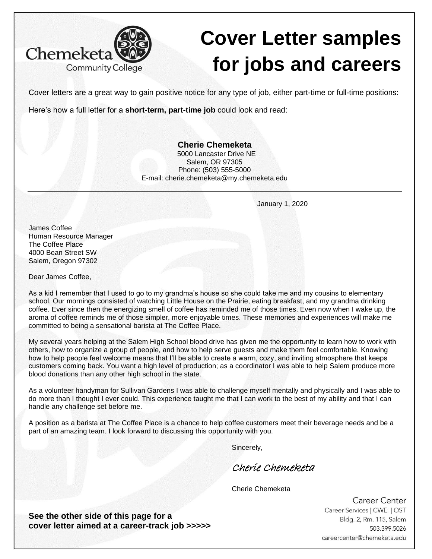

## **Cover Letter samples for jobs and careers**

Cover letters are a great way to gain positive notice for any type of job, either part-time or full-time positions:

Here's how a full letter for a **short-term, part-time job** could look and read:

## **Cherie Chemeketa**

 5000 Lancaster Drive NE Salem, OR 97305 Phone: (503) 555-5000 E-mail: cherie.chemeketa@my.chemeketa.edu

January 1, 2020

James Coffee Human Resource Manager The Coffee Place 4000 Bean Street SW Salem, Oregon 97302

Dear James Coffee,

As a kid I remember that I used to go to my grandma's house so she could take me and my cousins to elementary school. Our mornings consisted of watching Little House on the Prairie, eating breakfast, and my grandma drinking coffee. Ever since then the energizing smell of coffee has reminded me of those times. Even now when I wake up, the aroma of coffee reminds me of those simpler, more enjoyable times. These memories and experiences will make me committed to being a sensational barista at The Coffee Place.

My several years helping at the Salem High School blood drive has given me the opportunity to learn how to work with others, how to organize a group of people, and how to help serve guests and make them feel comfortable. Knowing how to help people feel welcome means that I'll be able to create a warm, cozy, and inviting atmosphere that keeps customers coming back. You want a high level of production; as a coordinator I was able to help Salem produce more blood donations than any other high school in the state.

As a volunteer handyman for Sullivan Gardens I was able to challenge myself mentally and physically and I was able to do more than I thought I ever could. This experience taught me that I can work to the best of my ability and that I can handle any challenge set before me.

A position as a barista at The Coffee Place is a chance to help coffee customers meet their beverage needs and be a part of an amazing team. I look forward to discussing this opportunity with you.

Sincerely,

Cherie Chemeketa

Cherie Chemeketa

Career Center Career Services | CWE | OST Bldg. 2, Rm. 115, Salem 503.399.5026 careercenter@chemeketa.edu

**See the other side of this page for a cover letter aimed at a career-track job >>>>>**